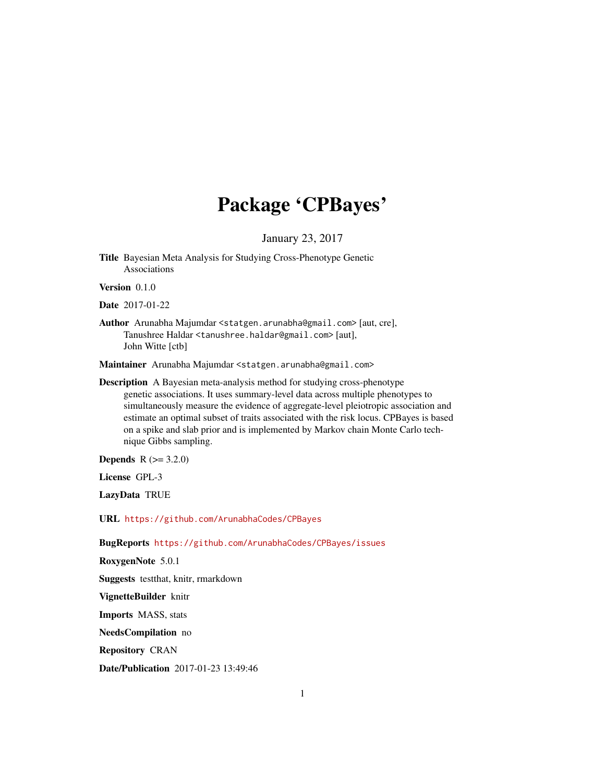## Package 'CPBayes'

January 23, 2017

Title Bayesian Meta Analysis for Studying Cross-Phenotype Genetic Associations

Version 0.1.0

Date 2017-01-22

Author Arunabha Majumdar <statgen.arunabha@gmail.com> [aut, cre], Tanushree Haldar <tanushree.haldar@gmail.com> [aut], John Witte [ctb]

Maintainer Arunabha Majumdar <statgen.arunabha@gmail.com>

Description A Bayesian meta-analysis method for studying cross-phenotype genetic associations. It uses summary-level data across multiple phenotypes to simultaneously measure the evidence of aggregate-level pleiotropic association and estimate an optimal subset of traits associated with the risk locus. CPBayes is based on a spike and slab prior and is implemented by Markov chain Monte Carlo technique Gibbs sampling.

**Depends** R  $(>= 3.2.0)$ 

License GPL-3

LazyData TRUE

URL <https://github.com/ArunabhaCodes/CPBayes>

BugReports <https://github.com/ArunabhaCodes/CPBayes/issues>

RoxygenNote 5.0.1 Suggests testthat, knitr, rmarkdown VignetteBuilder knitr

Imports MASS, stats NeedsCompilation no

Repository CRAN

Date/Publication 2017-01-23 13:49:46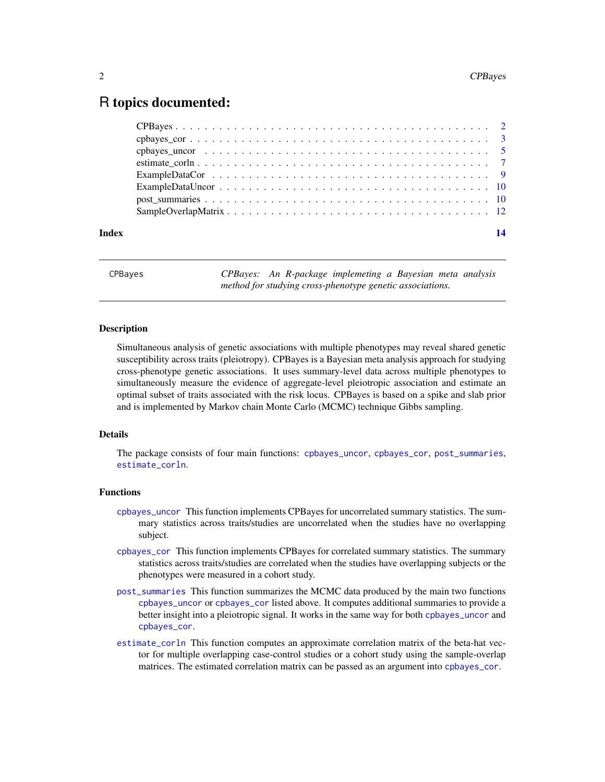### <span id="page-1-0"></span>R topics documented:

| Index | 14 |
|-------|----|
|       |    |
|       |    |
|       |    |
|       |    |
|       |    |
|       |    |
|       |    |
|       |    |

CPBayes *CPBayes: An R-package implemeting a Bayesian meta analysis method for studying cross-phenotype genetic associations.*

#### Description

Simultaneous analysis of genetic associations with multiple phenotypes may reveal shared genetic susceptibility across traits (pleiotropy). CPBayes is a Bayesian meta analysis approach for studying cross-phenotype genetic associations. It uses summary-level data across multiple phenotypes to simultaneously measure the evidence of aggregate-level pleiotropic association and estimate an optimal subset of traits associated with the risk locus. CPBayes is based on a spike and slab prior and is implemented by Markov chain Monte Carlo (MCMC) technique Gibbs sampling.

#### Details

The package consists of four main functions: [cpbayes\\_uncor](#page-4-1), [cpbayes\\_cor](#page-2-1), [post\\_summaries](#page-9-1), [estimate\\_corln](#page-6-1).

#### Functions

- [cpbayes\\_uncor](#page-4-1) This function implements CPBayes for uncorrelated summary statistics. The summary statistics across traits/studies are uncorrelated when the studies have no overlapping subject.
- [cpbayes\\_cor](#page-2-1) This function implements CPBayes for correlated summary statistics. The summary statistics across traits/studies are correlated when the studies have overlapping subjects or the phenotypes were measured in a cohort study.
- [post\\_summaries](#page-9-1) This function summarizes the MCMC data produced by the main two functions [cpbayes\\_uncor](#page-4-1) or [cpbayes\\_cor](#page-2-1) listed above. It computes additional summaries to provide a better insight into a pleiotropic signal. It works in the same way for both [cpbayes\\_uncor](#page-4-1) and [cpbayes\\_cor](#page-2-1).
- [estimate\\_corln](#page-6-1) This function computes an approximate correlation matrix of the beta-hat vector for multiple overlapping case-control studies or a cohort study using the sample-overlap matrices. The estimated correlation matrix can be passed as an argument into [cpbayes\\_cor](#page-2-1).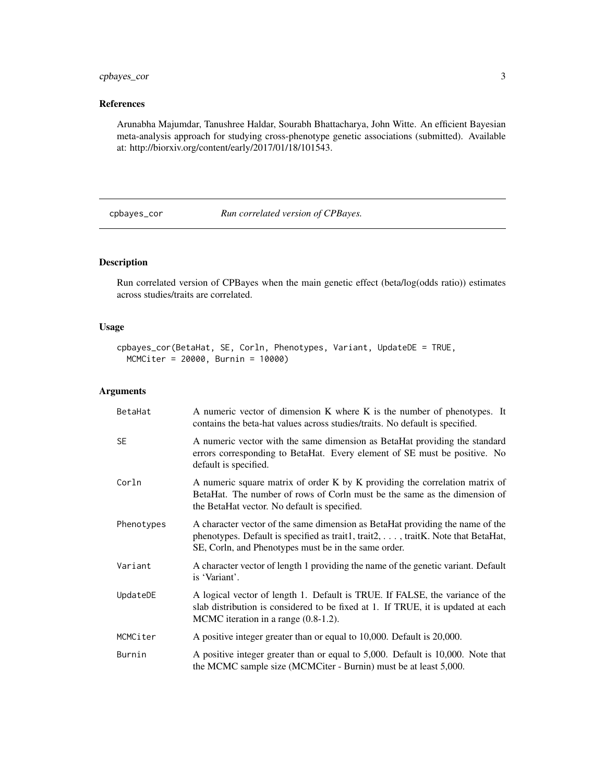#### <span id="page-2-0"></span>cpbayes\_cor 3

#### References

Arunabha Majumdar, Tanushree Haldar, Sourabh Bhattacharya, John Witte. An efficient Bayesian meta-analysis approach for studying cross-phenotype genetic associations (submitted). Available at: http://biorxiv.org/content/early/2017/01/18/101543.

<span id="page-2-1"></span>cpbayes\_cor *Run correlated version of CPBayes.*

#### Description

Run correlated version of CPBayes when the main genetic effect (beta/log(odds ratio)) estimates across studies/traits are correlated.

#### Usage

```
cpbayes_cor(BetaHat, SE, Corln, Phenotypes, Variant, UpdateDE = TRUE,
 MCMCiter = 20000, Burnin = 10000)
```
#### Arguments

| BetaHat    | A numeric vector of dimension K where K is the number of phenotypes. It<br>contains the beta-hat values across studies/traits. No default is specified.                                                                   |
|------------|---------------------------------------------------------------------------------------------------------------------------------------------------------------------------------------------------------------------------|
| <b>SE</b>  | A numeric vector with the same dimension as BetaHat providing the standard<br>errors corresponding to BetaHat. Every element of SE must be positive. No<br>default is specified.                                          |
| Corln      | A numeric square matrix of order K by K providing the correlation matrix of<br>BetaHat. The number of rows of Corln must be the same as the dimension of<br>the BetaHat vector. No default is specified.                  |
| Phenotypes | A character vector of the same dimension as BetaHat providing the name of the<br>phenotypes. Default is specified as trait1, trait2, , traitK. Note that BetaHat,<br>SE, Corln, and Phenotypes must be in the same order. |
| Variant    | A character vector of length 1 providing the name of the genetic variant. Default<br>is 'Variant'.                                                                                                                        |
| UpdateDE   | A logical vector of length 1. Default is TRUE. If FALSE, the variance of the<br>slab distribution is considered to be fixed at 1. If TRUE, it is updated at each<br>MCMC iteration in a range (0.8-1.2).                  |
| MCMCiter   | A positive integer greater than or equal to 10,000. Default is 20,000.                                                                                                                                                    |
| Burnin     | A positive integer greater than or equal to 5,000. Default is 10,000. Note that<br>the MCMC sample size (MCMCiter - Burnin) must be at least 5,000.                                                                       |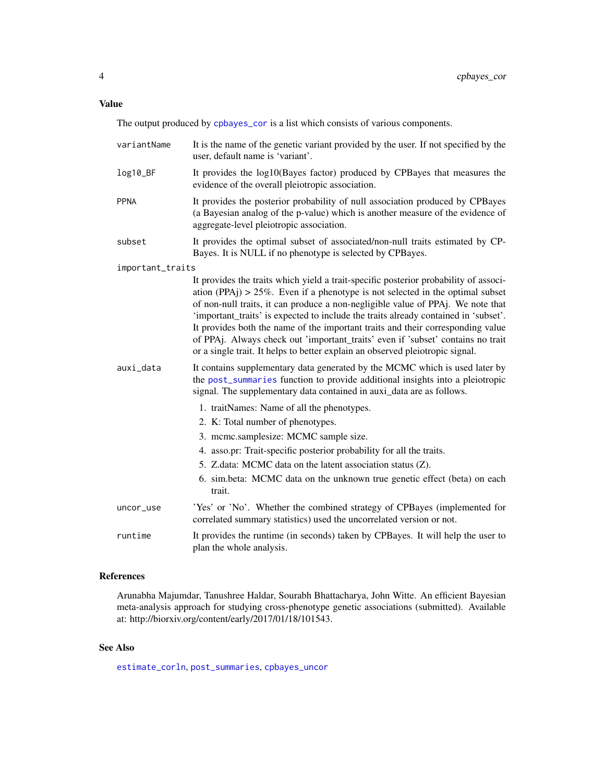<span id="page-3-0"></span>The output produced by [cpbayes\\_cor](#page-2-1) is a list which consists of various components.

| variantName      | It is the name of the genetic variant provided by the user. If not specified by the<br>user, default name is 'variant'.                                                                                                                                                                                                                                                                                                                                                                                                                                                                                    |
|------------------|------------------------------------------------------------------------------------------------------------------------------------------------------------------------------------------------------------------------------------------------------------------------------------------------------------------------------------------------------------------------------------------------------------------------------------------------------------------------------------------------------------------------------------------------------------------------------------------------------------|
| log10_BF         | It provides the log10(Bayes factor) produced by CPBayes that measures the<br>evidence of the overall pleiotropic association.                                                                                                                                                                                                                                                                                                                                                                                                                                                                              |
| <b>PPNA</b>      | It provides the posterior probability of null association produced by CPBayes<br>(a Bayesian analog of the p-value) which is another measure of the evidence of<br>aggregate-level pleiotropic association.                                                                                                                                                                                                                                                                                                                                                                                                |
| subset           | It provides the optimal subset of associated/non-null traits estimated by CP-<br>Bayes. It is NULL if no phenotype is selected by CPBayes.                                                                                                                                                                                                                                                                                                                                                                                                                                                                 |
| important_traits |                                                                                                                                                                                                                                                                                                                                                                                                                                                                                                                                                                                                            |
|                  | It provides the traits which yield a trait-specific posterior probability of associ-<br>ation (PPAj) $> 25\%$ . Even if a phenotype is not selected in the optimal subset<br>of non-null traits, it can produce a non-negligible value of PPAj. We note that<br>'important_traits' is expected to include the traits already contained in 'subset'.<br>It provides both the name of the important traits and their corresponding value<br>of PPAj. Always check out 'important_traits' even if 'subset' contains no trait<br>or a single trait. It helps to better explain an observed pleiotropic signal. |
| auxi_data        | It contains supplementary data generated by the MCMC which is used later by<br>the post_summaries function to provide additional insights into a pleiotropic<br>signal. The supplementary data contained in auxi_data are as follows.                                                                                                                                                                                                                                                                                                                                                                      |
|                  | 1. traitNames: Name of all the phenotypes.                                                                                                                                                                                                                                                                                                                                                                                                                                                                                                                                                                 |
|                  | 2. K: Total number of phenotypes.                                                                                                                                                                                                                                                                                                                                                                                                                                                                                                                                                                          |
|                  | 3. mcmc.samplesize: MCMC sample size.                                                                                                                                                                                                                                                                                                                                                                                                                                                                                                                                                                      |
|                  | 4. asso.pr: Trait-specific posterior probability for all the traits.                                                                                                                                                                                                                                                                                                                                                                                                                                                                                                                                       |
|                  | 5. Z.data: MCMC data on the latent association status (Z).                                                                                                                                                                                                                                                                                                                                                                                                                                                                                                                                                 |
|                  | 6. sim.beta: MCMC data on the unknown true genetic effect (beta) on each<br>trait.                                                                                                                                                                                                                                                                                                                                                                                                                                                                                                                         |
| uncor_use        | 'Yes' or 'No'. Whether the combined strategy of CPBayes (implemented for<br>correlated summary statistics) used the uncorrelated version or not.                                                                                                                                                                                                                                                                                                                                                                                                                                                           |
| runtime          | It provides the runtime (in seconds) taken by CPBayes. It will help the user to<br>plan the whole analysis.                                                                                                                                                                                                                                                                                                                                                                                                                                                                                                |

#### References

Arunabha Majumdar, Tanushree Haldar, Sourabh Bhattacharya, John Witte. An efficient Bayesian meta-analysis approach for studying cross-phenotype genetic associations (submitted). Available at: http://biorxiv.org/content/early/2017/01/18/101543.

#### See Also

[estimate\\_corln](#page-6-1), [post\\_summaries](#page-9-1), [cpbayes\\_uncor](#page-4-1)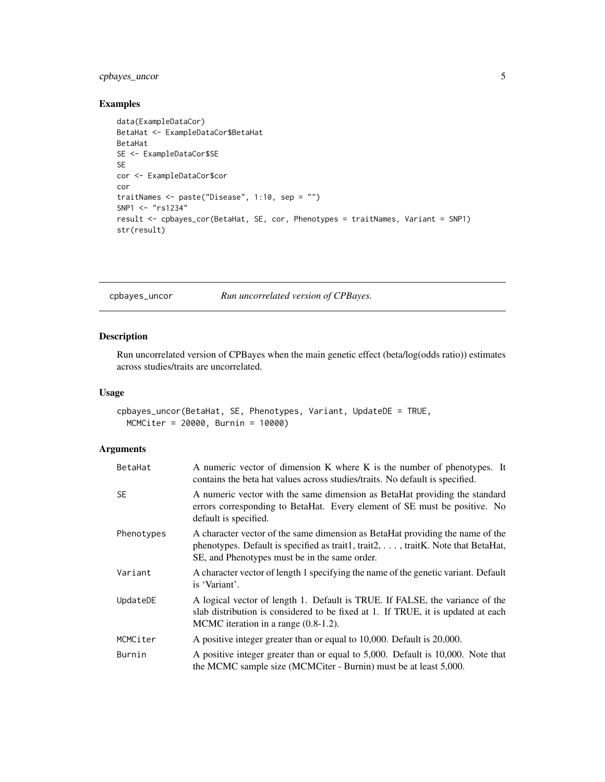#### <span id="page-4-0"></span>cpbayes\_uncor 5

#### Examples

```
data(ExampleDataCor)
BetaHat <- ExampleDataCor$BetaHat
BetaHat
SE <- ExampleDataCor$SE
SE
cor <- ExampleDataCor$cor
cor
traitNames <- paste("Disease", 1:10, sep = "")
SNP1 <- "rs1234"
result <- cpbayes_cor(BetaHat, SE, cor, Phenotypes = traitNames, Variant = SNP1)
str(result)
```
<span id="page-4-1"></span>cpbayes\_uncor *Run uncorrelated version of CPBayes.*

#### Description

Run uncorrelated version of CPBayes when the main genetic effect (beta/log(odds ratio)) estimates across studies/traits are uncorrelated.

#### Usage

```
cpbayes_uncor(BetaHat, SE, Phenotypes, Variant, UpdateDE = TRUE,
 MCMCiter = 20000, Burnin = 10000)
```
#### Arguments

| BetaHat    | A numeric vector of dimension K where K is the number of phenotypes. It<br>contains the beta hat values across studies/traits. No default is specified.                                                                     |
|------------|-----------------------------------------------------------------------------------------------------------------------------------------------------------------------------------------------------------------------------|
| <b>SE</b>  | A numeric vector with the same dimension as BetaHat providing the standard<br>errors corresponding to BetaHat. Every element of SE must be positive. No<br>default is specified.                                            |
| Phenotypes | A character vector of the same dimension as BetaHat providing the name of the<br>phenotypes. Default is specified as trait1, trait2, $\dots$ , trait K. Note that BetaHat,<br>SE, and Phenotypes must be in the same order. |
| Variant    | A character vector of length 1 specifying the name of the genetic variant. Default<br>is 'Variant'.                                                                                                                         |
| UpdateDE   | A logical vector of length 1. Default is TRUE. If FALSE, the variance of the<br>slab distribution is considered to be fixed at 1. If TRUE, it is updated at each<br>MCMC iteration in a range (0.8-1.2).                    |
| MCMCiter   | A positive integer greater than or equal to 10,000. Default is 20,000.                                                                                                                                                      |
| Burnin     | A positive integer greater than or equal to 5,000. Default is 10,000. Note that<br>the MCMC sample size (MCMCiter - Burnin) must be at least 5,000.                                                                         |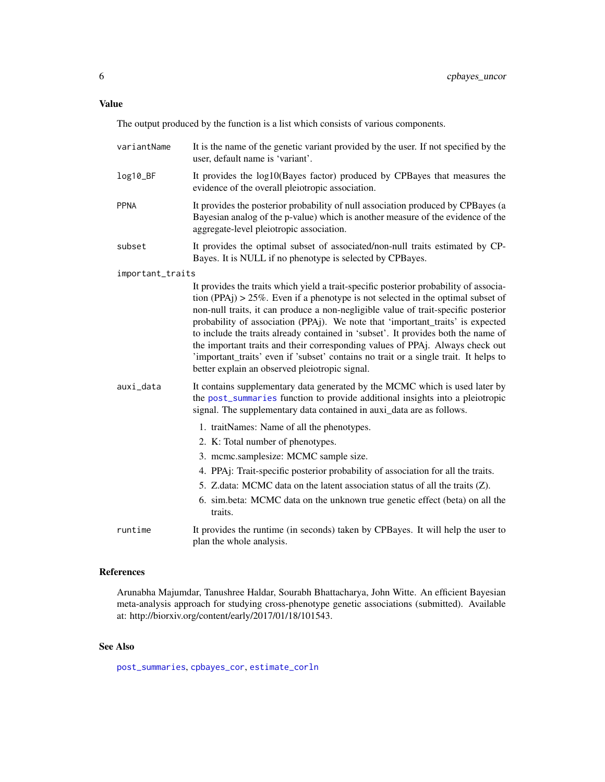#### <span id="page-5-0"></span>Value

The output produced by the function is a list which consists of various components.

| variantName      | It is the name of the genetic variant provided by the user. If not specified by the<br>user, default name is 'variant'.                                                                                                                                                                                                                                                                                                                                                                                                                                                                                                                                              |
|------------------|----------------------------------------------------------------------------------------------------------------------------------------------------------------------------------------------------------------------------------------------------------------------------------------------------------------------------------------------------------------------------------------------------------------------------------------------------------------------------------------------------------------------------------------------------------------------------------------------------------------------------------------------------------------------|
| log10_BF         | It provides the log10(Bayes factor) produced by CPBayes that measures the<br>evidence of the overall pleiotropic association.                                                                                                                                                                                                                                                                                                                                                                                                                                                                                                                                        |
| <b>PPNA</b>      | It provides the posterior probability of null association produced by CPBayes (a<br>Bayesian analog of the p-value) which is another measure of the evidence of the<br>aggregate-level pleiotropic association.                                                                                                                                                                                                                                                                                                                                                                                                                                                      |
| subset           | It provides the optimal subset of associated/non-null traits estimated by CP-<br>Bayes. It is NULL if no phenotype is selected by CPBayes.                                                                                                                                                                                                                                                                                                                                                                                                                                                                                                                           |
| important_traits |                                                                                                                                                                                                                                                                                                                                                                                                                                                                                                                                                                                                                                                                      |
|                  | It provides the traits which yield a trait-specific posterior probability of associa-<br>tion (PPAj) > $25\%$ . Even if a phenotype is not selected in the optimal subset of<br>non-null traits, it can produce a non-negligible value of trait-specific posterior<br>probability of association (PPAj). We note that 'important_traits' is expected<br>to include the traits already contained in 'subset'. It provides both the name of<br>the important traits and their corresponding values of PPAj. Always check out<br>'important_traits' even if 'subset' contains no trait or a single trait. It helps to<br>better explain an observed pleiotropic signal. |
| auxi_data        | It contains supplementary data generated by the MCMC which is used later by<br>the post_summaries function to provide additional insights into a pleiotropic<br>signal. The supplementary data contained in auxi_data are as follows.                                                                                                                                                                                                                                                                                                                                                                                                                                |
|                  | 1. traitNames: Name of all the phenotypes.                                                                                                                                                                                                                                                                                                                                                                                                                                                                                                                                                                                                                           |
|                  | 2. K: Total number of phenotypes.                                                                                                                                                                                                                                                                                                                                                                                                                                                                                                                                                                                                                                    |
|                  | 3. mcmc.samplesize: MCMC sample size.                                                                                                                                                                                                                                                                                                                                                                                                                                                                                                                                                                                                                                |
|                  | 4. PPAj: Trait-specific posterior probability of association for all the traits.                                                                                                                                                                                                                                                                                                                                                                                                                                                                                                                                                                                     |
|                  | 5. Z.data: MCMC data on the latent association status of all the traits (Z).                                                                                                                                                                                                                                                                                                                                                                                                                                                                                                                                                                                         |
|                  | 6. sim.beta: MCMC data on the unknown true genetic effect (beta) on all the<br>traits.                                                                                                                                                                                                                                                                                                                                                                                                                                                                                                                                                                               |
| runtime          | It provides the runtime (in seconds) taken by CPBayes. It will help the user to<br>plan the whole analysis.                                                                                                                                                                                                                                                                                                                                                                                                                                                                                                                                                          |

#### References

Arunabha Majumdar, Tanushree Haldar, Sourabh Bhattacharya, John Witte. An efficient Bayesian meta-analysis approach for studying cross-phenotype genetic associations (submitted). Available at: http://biorxiv.org/content/early/2017/01/18/101543.

#### See Also

[post\\_summaries](#page-9-1), [cpbayes\\_cor](#page-2-1), [estimate\\_corln](#page-6-1)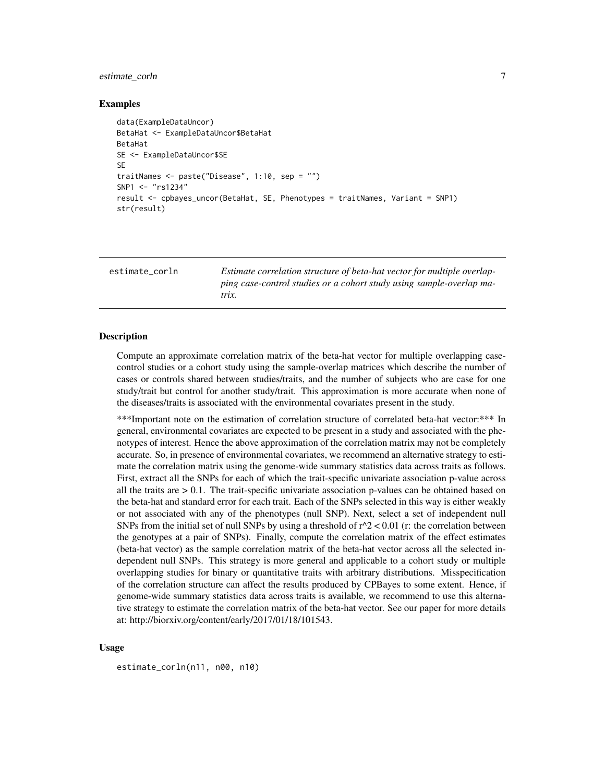#### <span id="page-6-0"></span>estimate\_corln 7

#### Examples

```
data(ExampleDataUncor)
BetaHat <- ExampleDataUncor$BetaHat
BetaHat
SE <- ExampleDataUncor$SE
SE
traitNames <- paste("Disease", 1:10, sep = "")
SNP1 <- "rs1234"
result <- cpbayes_uncor(BetaHat, SE, Phenotypes = traitNames, Variant = SNP1)
str(result)
```
<span id="page-6-1"></span>estimate\_corln *Estimate correlation structure of beta-hat vector for multiple overlapping case-control studies or a cohort study using sample-overlap matrix.*

#### Description

Compute an approximate correlation matrix of the beta-hat vector for multiple overlapping casecontrol studies or a cohort study using the sample-overlap matrices which describe the number of cases or controls shared between studies/traits, and the number of subjects who are case for one study/trait but control for another study/trait. This approximation is more accurate when none of the diseases/traits is associated with the environmental covariates present in the study.

\*\*\*Important note on the estimation of correlation structure of correlated beta-hat vector:\*\*\* In general, environmental covariates are expected to be present in a study and associated with the phenotypes of interest. Hence the above approximation of the correlation matrix may not be completely accurate. So, in presence of environmental covariates, we recommend an alternative strategy to estimate the correlation matrix using the genome-wide summary statistics data across traits as follows. First, extract all the SNPs for each of which the trait-specific univariate association p-value across all the traits are  $> 0.1$ . The trait-specific univariate association p-values can be obtained based on the beta-hat and standard error for each trait. Each of the SNPs selected in this way is either weakly or not associated with any of the phenotypes (null SNP). Next, select a set of independent null SNPs from the initial set of null SNPs by using a threshold of  $r^2$  < 0.01 (r: the correlation between the genotypes at a pair of SNPs). Finally, compute the correlation matrix of the effect estimates (beta-hat vector) as the sample correlation matrix of the beta-hat vector across all the selected independent null SNPs. This strategy is more general and applicable to a cohort study or multiple overlapping studies for binary or quantitative traits with arbitrary distributions. Misspecification of the correlation structure can affect the results produced by CPBayes to some extent. Hence, if genome-wide summary statistics data across traits is available, we recommend to use this alternative strategy to estimate the correlation matrix of the beta-hat vector. See our paper for more details at: http://biorxiv.org/content/early/2017/01/18/101543.

#### Usage

estimate\_corln(n11, n00, n10)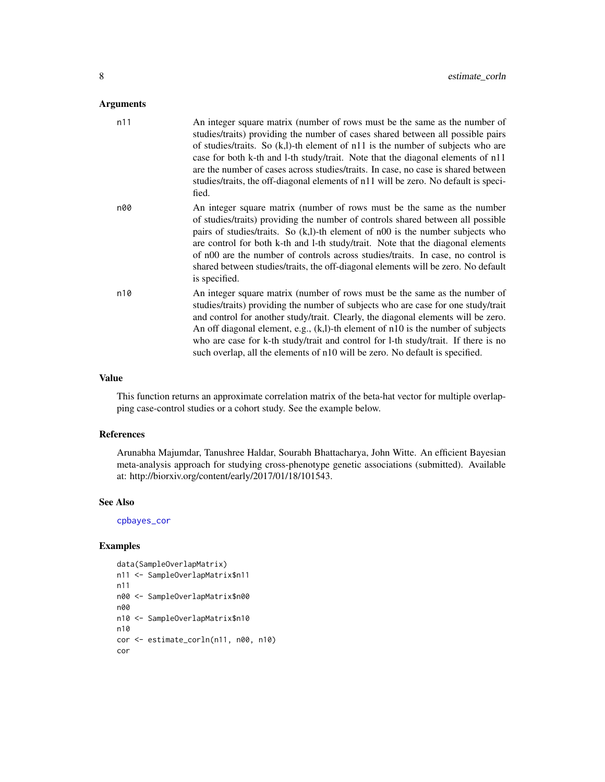#### <span id="page-7-0"></span>Arguments

| n11 | An integer square matrix (number of rows must be the same as the number of<br>studies/traits) providing the number of cases shared between all possible pairs<br>of studies/traits. So $(k, l)$ -th element of n11 is the number of subjects who are<br>case for both k-th and l-th study/trait. Note that the diagonal elements of n11<br>are the number of cases across studies/traits. In case, no case is shared between<br>studies/traits, the off-diagonal elements of n11 will be zero. No default is speci-<br>fied. |
|-----|------------------------------------------------------------------------------------------------------------------------------------------------------------------------------------------------------------------------------------------------------------------------------------------------------------------------------------------------------------------------------------------------------------------------------------------------------------------------------------------------------------------------------|
| n00 | An integer square matrix (number of rows must be the same as the number<br>of studies/traits) providing the number of controls shared between all possible<br>pairs of studies/traits. So $(k,l)$ -th element of n00 is the number subjects who<br>are control for both k-th and l-th study/trait. Note that the diagonal elements<br>of n00 are the number of controls across studies/traits. In case, no control is<br>shared between studies/traits, the off-diagonal elements will be zero. No default<br>is specified.  |
| n10 | An integer square matrix (number of rows must be the same as the number of<br>studies/traits) providing the number of subjects who are case for one study/trait<br>and control for another study/trait. Clearly, the diagonal elements will be zero.<br>An off diagonal element, e.g., $(k, l)$ -th element of n10 is the number of subjects<br>who are case for k-th study/trait and control for l-th study/trait. If there is no<br>such overlap, all the elements of n10 will be zero. No default is specified.           |

#### Value

This function returns an approximate correlation matrix of the beta-hat vector for multiple overlapping case-control studies or a cohort study. See the example below.

#### References

Arunabha Majumdar, Tanushree Haldar, Sourabh Bhattacharya, John Witte. An efficient Bayesian meta-analysis approach for studying cross-phenotype genetic associations (submitted). Available at: http://biorxiv.org/content/early/2017/01/18/101543.

#### See Also

[cpbayes\\_cor](#page-2-1)

#### Examples

```
data(SampleOverlapMatrix)
n11 <- SampleOverlapMatrix$n11
n11
n00 <- SampleOverlapMatrix$n00
n00
n10 <- SampleOverlapMatrix$n10
n10
cor <- estimate_corln(n11, n00, n10)
cor
```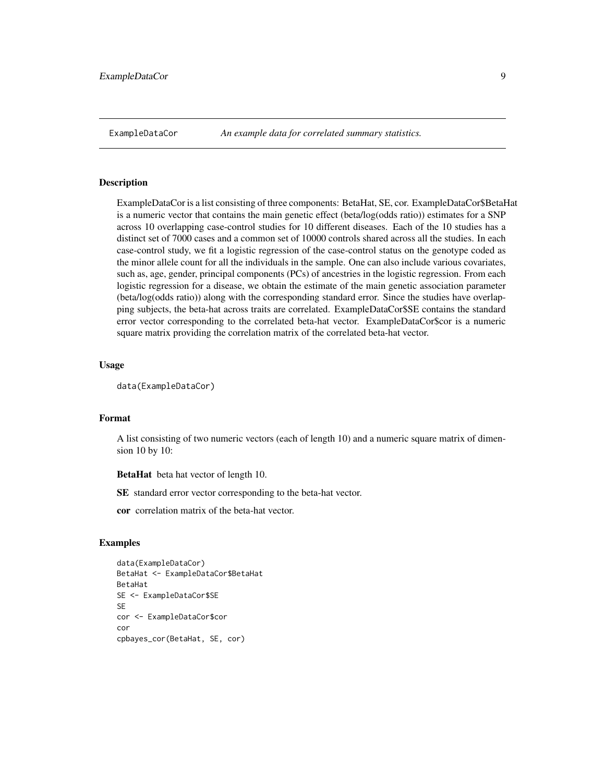<span id="page-8-0"></span>ExampleDataCor *An example data for correlated summary statistics.*

#### Description

ExampleDataCor is a list consisting of three components: BetaHat, SE, cor. ExampleDataCor\$BetaHat is a numeric vector that contains the main genetic effect (beta/log(odds ratio)) estimates for a SNP across 10 overlapping case-control studies for 10 different diseases. Each of the 10 studies has a distinct set of 7000 cases and a common set of 10000 controls shared across all the studies. In each case-control study, we fit a logistic regression of the case-control status on the genotype coded as the minor allele count for all the individuals in the sample. One can also include various covariates, such as, age, gender, principal components (PCs) of ancestries in the logistic regression. From each logistic regression for a disease, we obtain the estimate of the main genetic association parameter (beta/log(odds ratio)) along with the corresponding standard error. Since the studies have overlapping subjects, the beta-hat across traits are correlated. ExampleDataCor\$SE contains the standard error vector corresponding to the correlated beta-hat vector. ExampleDataCor\$cor is a numeric square matrix providing the correlation matrix of the correlated beta-hat vector.

#### Usage

```
data(ExampleDataCor)
```
#### Format

A list consisting of two numeric vectors (each of length 10) and a numeric square matrix of dimension 10 by 10:

BetaHat beta hat vector of length 10.

SE standard error vector corresponding to the beta-hat vector.

cor correlation matrix of the beta-hat vector.

#### Examples

```
data(ExampleDataCor)
BetaHat <- ExampleDataCor$BetaHat
BetaHat
SE <- ExampleDataCor$SE
SE
cor <- ExampleDataCor$cor
cor
cpbayes_cor(BetaHat, SE, cor)
```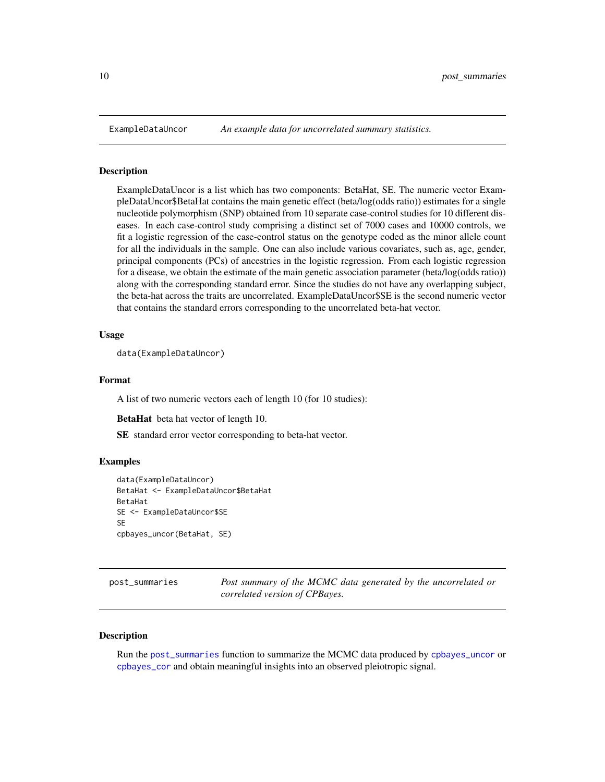<span id="page-9-0"></span>

#### Description

ExampleDataUncor is a list which has two components: BetaHat, SE. The numeric vector ExampleDataUncor\$BetaHat contains the main genetic effect (beta/log(odds ratio)) estimates for a single nucleotide polymorphism (SNP) obtained from 10 separate case-control studies for 10 different diseases. In each case-control study comprising a distinct set of 7000 cases and 10000 controls, we fit a logistic regression of the case-control status on the genotype coded as the minor allele count for all the individuals in the sample. One can also include various covariates, such as, age, gender, principal components (PCs) of ancestries in the logistic regression. From each logistic regression for a disease, we obtain the estimate of the main genetic association parameter (beta/log(odds ratio)) along with the corresponding standard error. Since the studies do not have any overlapping subject, the beta-hat across the traits are uncorrelated. ExampleDataUncor\$SE is the second numeric vector that contains the standard errors corresponding to the uncorrelated beta-hat vector.

#### Usage

```
data(ExampleDataUncor)
```
#### Format

A list of two numeric vectors each of length 10 (for 10 studies):

BetaHat beta hat vector of length 10.

SE standard error vector corresponding to beta-hat vector.

#### Examples

```
data(ExampleDataUncor)
BetaHat <- ExampleDataUncor$BetaHat
BetaHat
SE <- ExampleDataUncor$SE
SE
cpbayes_uncor(BetaHat, SE)
```
<span id="page-9-1"></span>post\_summaries *Post summary of the MCMC data generated by the uncorrelated or correlated version of CPBayes.*

#### Description

Run the [post\\_summaries](#page-9-1) function to summarize the MCMC data produced by [cpbayes\\_uncor](#page-4-1) or [cpbayes\\_cor](#page-2-1) and obtain meaningful insights into an observed pleiotropic signal.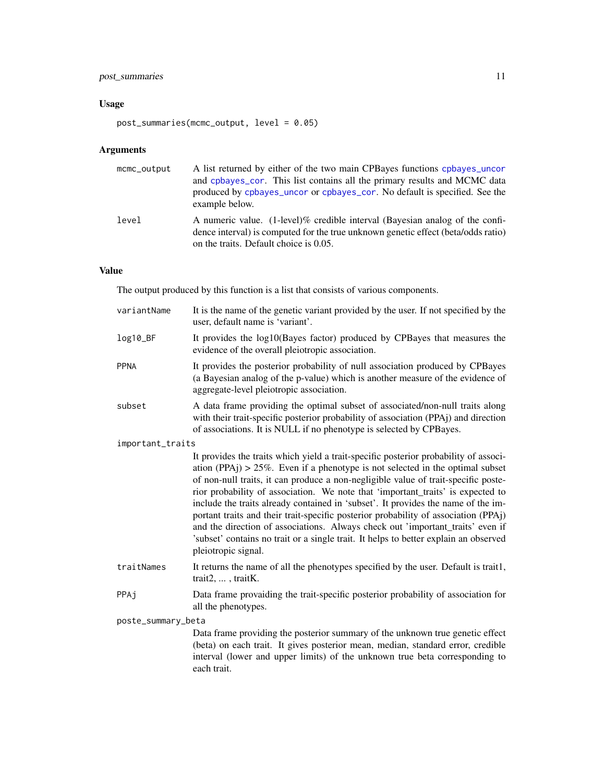#### post\_summaries 11

#### Usage

```
post_summaries(mcmc_output, level = 0.05)
```
#### Arguments

| mcmc_output | A list returned by either of the two main CPBayes functions cpbayes_uncor<br>and cpbayes_cor. This list contains all the primary results and MCMC data<br>produced by cpbayes_uncor or cpbayes_cor. No default is specified. See the<br>example below. |
|-------------|--------------------------------------------------------------------------------------------------------------------------------------------------------------------------------------------------------------------------------------------------------|
| level       | A numeric value. (1-level)% credible interval (Bayesian analog of the confi-<br>dence interval) is computed for the true unknown genetic effect (beta/odds ratio)<br>on the traits. Default choice is 0.05.                                            |

#### Value

The output produced by this function is a list that consists of various components.

| variantName        | It is the name of the genetic variant provided by the user. If not specified by the<br>user, default name is 'variant'.                                                                                                                                                                                                                                                                                                                                                                                                                                                                                                                                                                                                         |
|--------------------|---------------------------------------------------------------------------------------------------------------------------------------------------------------------------------------------------------------------------------------------------------------------------------------------------------------------------------------------------------------------------------------------------------------------------------------------------------------------------------------------------------------------------------------------------------------------------------------------------------------------------------------------------------------------------------------------------------------------------------|
| log10_BF           | It provides the log10(Bayes factor) produced by CPBayes that measures the<br>evidence of the overall pleiotropic association.                                                                                                                                                                                                                                                                                                                                                                                                                                                                                                                                                                                                   |
| <b>PPNA</b>        | It provides the posterior probability of null association produced by CPBayes<br>(a Bayesian analog of the p-value) which is another measure of the evidence of<br>aggregate-level pleiotropic association.                                                                                                                                                                                                                                                                                                                                                                                                                                                                                                                     |
| subset             | A data frame providing the optimal subset of associated/non-null traits along<br>with their trait-specific posterior probability of association (PPA) and direction<br>of associations. It is NULL if no phenotype is selected by CPBayes.                                                                                                                                                                                                                                                                                                                                                                                                                                                                                      |
| important_traits   |                                                                                                                                                                                                                                                                                                                                                                                                                                                                                                                                                                                                                                                                                                                                 |
|                    | It provides the traits which yield a trait-specific posterior probability of associ-<br>ation (PPAj) $> 25\%$ . Even if a phenotype is not selected in the optimal subset<br>of non-null traits, it can produce a non-negligible value of trait-specific poste-<br>rior probability of association. We note that 'important_traits' is expected to<br>include the traits already contained in 'subset'. It provides the name of the im-<br>portant traits and their trait-specific posterior probability of association (PPAj)<br>and the direction of associations. Always check out 'important_traits' even if<br>'subset' contains no trait or a single trait. It helps to better explain an observed<br>pleiotropic signal. |
| traitNames         | It returns the name of all the phenotypes specified by the user. Default is trait1,<br>trait2, , traitK.                                                                                                                                                                                                                                                                                                                                                                                                                                                                                                                                                                                                                        |
| PPAj               | Data frame provaiding the trait-specific posterior probability of association for<br>all the phenotypes.                                                                                                                                                                                                                                                                                                                                                                                                                                                                                                                                                                                                                        |
| poste_summary_beta |                                                                                                                                                                                                                                                                                                                                                                                                                                                                                                                                                                                                                                                                                                                                 |
|                    | Data frame providing the posterior summary of the unknown true genetic effect<br>(beta) on each trait. It gives posterior mean, median, standard error, credible<br>interval (lower and upper limits) of the unknown true beta corresponding to<br>each trait.                                                                                                                                                                                                                                                                                                                                                                                                                                                                  |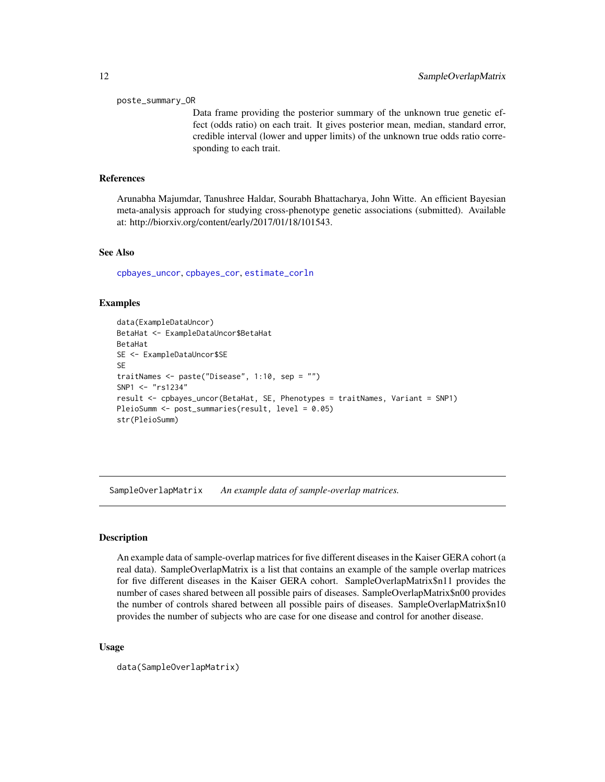#### <span id="page-11-0"></span>poste\_summary\_OR

Data frame providing the posterior summary of the unknown true genetic effect (odds ratio) on each trait. It gives posterior mean, median, standard error, credible interval (lower and upper limits) of the unknown true odds ratio corresponding to each trait.

#### References

Arunabha Majumdar, Tanushree Haldar, Sourabh Bhattacharya, John Witte. An efficient Bayesian meta-analysis approach for studying cross-phenotype genetic associations (submitted). Available at: http://biorxiv.org/content/early/2017/01/18/101543.

#### See Also

[cpbayes\\_uncor](#page-4-1), [cpbayes\\_cor](#page-2-1), [estimate\\_corln](#page-6-1)

#### Examples

```
data(ExampleDataUncor)
BetaHat <- ExampleDataUncor$BetaHat
BetaHat
SE <- ExampleDataUncor$SE
SE
traitNames <- paste("Disease", 1:10, sep = "")
SNP1 <- "rs1234"
result <- cpbayes_uncor(BetaHat, SE, Phenotypes = traitNames, Variant = SNP1)
PleioSumm <- post_summaries(result, level = 0.05)
str(PleioSumm)
```
SampleOverlapMatrix *An example data of sample-overlap matrices.*

#### **Description**

An example data of sample-overlap matrices for five different diseases in the Kaiser GERA cohort (a real data). SampleOverlapMatrix is a list that contains an example of the sample overlap matrices for five different diseases in the Kaiser GERA cohort. SampleOverlapMatrix\$n11 provides the number of cases shared between all possible pairs of diseases. SampleOverlapMatrix\$n00 provides the number of controls shared between all possible pairs of diseases. SampleOverlapMatrix\$n10 provides the number of subjects who are case for one disease and control for another disease.

#### Usage

```
data(SampleOverlapMatrix)
```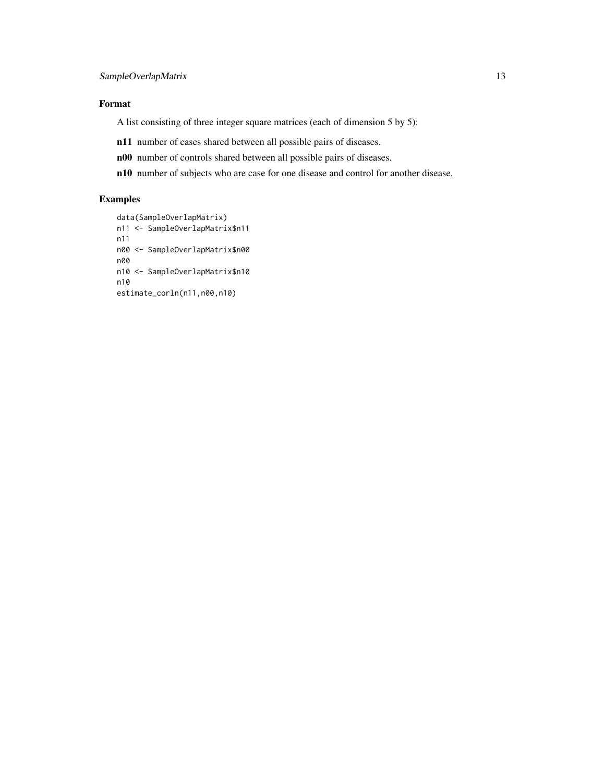#### SampleOverlapMatrix 13

#### Format

A list consisting of three integer square matrices (each of dimension 5 by 5):

- n11 number of cases shared between all possible pairs of diseases.
- n00 number of controls shared between all possible pairs of diseases.
- n10 number of subjects who are case for one disease and control for another disease.

#### Examples

```
data(SampleOverlapMatrix)
n11 <- SampleOverlapMatrix$n11
n11
n00 <- SampleOverlapMatrix$n00
n00
n10 <- SampleOverlapMatrix$n10
n10
estimate_corln(n11,n00,n10)
```